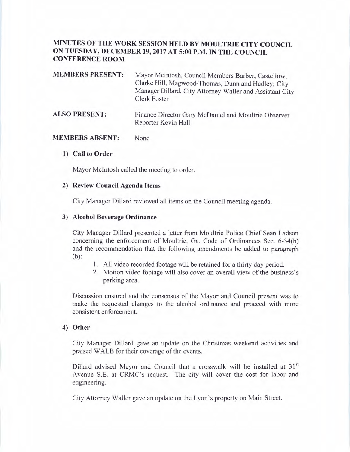# **MINUTES OF THE WORK SESSION HELD BY MOULTRIE CITY COUNCIL ON TUESDAY, DECEMBER 19, 2017 AT 5:00 P.M. IN THE COUNCIL CONFERENCE ROOM**

| <b>MEMBERS PRESENT:</b> | Mayor McIntosh, Council Members Barber, Castellow,<br>Clarke Hill, Magwood-Thomas, Dunn and Hadley; City<br>Manager Dillard, City Attorney Waller and Assistant City |
|-------------------------|----------------------------------------------------------------------------------------------------------------------------------------------------------------------|
|                         | Clerk Foster                                                                                                                                                         |

#### **ALSO PRESENT:**  Finance Director Gary McDaniel and Moultrie Observer Reporter Kevin Hall

#### **MEMBERS ABSENT:**  None

### **1) Call to Order**

Mayor McIntosh called the meeting to order.

### **2) Review Council Agenda Items**

City Manager Dillard reviewed all items on the Council meeting agenda.

#### **3) Alcohol Beverage Ordinance**

City Manager Dillard presented a letter from Moultrie Police Chief Sean Ladson concerning the enforcement of Moultrie, Ga. Code of Ordinances Sec. 6-34(b) and the recommendation that the following amendments be added to paragraph (b):

- 1. All video recorded footage will be retained for a thirty day period.
- 2. Motion video footage will also cover an overall view of the business's parking area.

Discussion ensured and the consensus of the Mayor and Council present was to make the requested changes to the alcohol ordinance and proceed with more consistent enforcement.

### **4) Other**

City Manager Dillard gave an update on the Christmas weekend activities and praised WALB for their coverage of the events.

Dillard advised Mayor and Council that a crosswalk will be installed at  $31<sup>st</sup>$ Avenue S.E. at CRMC's request. The city will cover the cost for labor and engineering.

City Attorney Waller gave an update on the Lyon's property on Main Street.